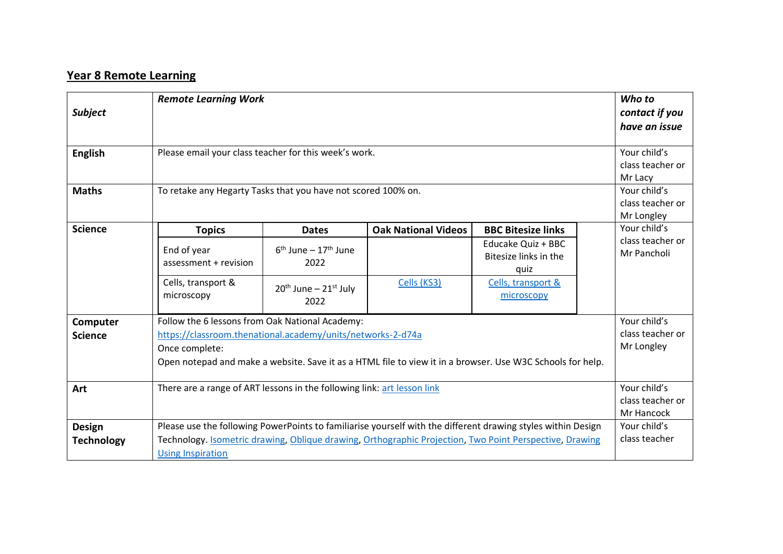## **Year 8 Remote Learning**

|                   | <b>Remote Learning Work</b>                                                                                  |                                    |                            |                                  |  | Who to                      |
|-------------------|--------------------------------------------------------------------------------------------------------------|------------------------------------|----------------------------|----------------------------------|--|-----------------------------|
| <b>Subject</b>    |                                                                                                              |                                    |                            |                                  |  | contact if you              |
|                   |                                                                                                              |                                    |                            |                                  |  | have an issue               |
|                   |                                                                                                              |                                    |                            |                                  |  |                             |
| <b>English</b>    | Please email your class teacher for this week's work.                                                        |                                    |                            |                                  |  | Your child's                |
|                   |                                                                                                              |                                    |                            |                                  |  | class teacher or<br>Mr Lacy |
|                   |                                                                                                              |                                    |                            |                                  |  |                             |
| <b>Maths</b>      | To retake any Hegarty Tasks that you have not scored 100% on.                                                |                                    |                            |                                  |  | Your child's                |
|                   |                                                                                                              |                                    |                            |                                  |  | class teacher or            |
|                   |                                                                                                              |                                    |                            |                                  |  | Mr Longley<br>Your child's  |
| <b>Science</b>    | <b>Topics</b>                                                                                                | <b>Dates</b>                       | <b>Oak National Videos</b> | <b>BBC Bitesize links</b>        |  | class teacher or            |
|                   | End of year                                                                                                  | $6th$ June – 17 <sup>th</sup> June |                            | Educake Quiz + BBC               |  | Mr Pancholi                 |
|                   | assessment + revision                                                                                        | 2022                               |                            | Bitesize links in the            |  |                             |
|                   |                                                                                                              |                                    |                            | quiz                             |  |                             |
|                   | Cells, transport &<br>microscopy                                                                             | $20th$ June – $21st$ July          | Cells (KS3)                | Cells, transport &<br>microscopy |  |                             |
|                   |                                                                                                              | 2022                               |                            |                                  |  |                             |
| Computer          | Your child's<br>Follow the 6 lessons from Oak National Academy:                                              |                                    |                            |                                  |  |                             |
| <b>Science</b>    | https://classroom.thenational.academy/units/networks-2-d74a                                                  |                                    |                            |                                  |  | class teacher or            |
|                   | Once complete:                                                                                               |                                    |                            |                                  |  | Mr Longley                  |
|                   | Open notepad and make a website. Save it as a HTML file to view it in a browser. Use W3C Schools for help.   |                                    |                            |                                  |  |                             |
|                   |                                                                                                              |                                    |                            |                                  |  |                             |
| Art               | There are a range of ART lessons in the following link: art lesson link                                      |                                    |                            |                                  |  | Your child's                |
|                   |                                                                                                              | class teacher or                   |                            |                                  |  |                             |
|                   |                                                                                                              |                                    |                            |                                  |  |                             |
| <b>Design</b>     | Please use the following PowerPoints to familiarise yourself with the different drawing styles within Design |                                    |                            |                                  |  | Your child's                |
| <b>Technology</b> | Technology. Isometric drawing, Oblique drawing, Orthographic Projection, Two Point Perspective, Drawing      |                                    |                            |                                  |  | class teacher               |
|                   | <b>Using Inspiration</b>                                                                                     |                                    |                            |                                  |  |                             |